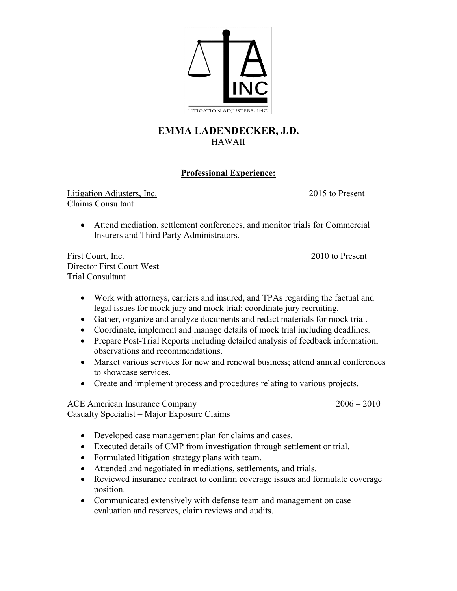

## **EMMA LADENDECKER, J.D.** HAWAII

## **Professional Experience:**

Litigation Adjusters, Inc. 2015 to Present Claims Consultant

• Attend mediation, settlement conferences, and monitor trials for Commercial Insurers and Third Party Administrators.

First Court, Inc. 2010 to Present Director First Court West Trial Consultant

- Work with attorneys, carriers and insured, and TPAs regarding the factual and legal issues for mock jury and mock trial; coordinate jury recruiting.
- Gather, organize and analyze documents and redact materials for mock trial.
- Coordinate, implement and manage details of mock trial including deadlines.
- Prepare Post-Trial Reports including detailed analysis of feedback information, observations and recommendations.
- Market various services for new and renewal business; attend annual conferences to showcase services.
- Create and implement process and procedures relating to various projects.

## ACE American Insurance Company 2006 – 2010

Casualty Specialist – Major Exposure Claims

- Developed case management plan for claims and cases.
- Executed details of CMP from investigation through settlement or trial.
- Formulated litigation strategy plans with team.
- Attended and negotiated in mediations, settlements, and trials.
- Reviewed insurance contract to confirm coverage issues and formulate coverage position.
- Communicated extensively with defense team and management on case evaluation and reserves, claim reviews and audits.